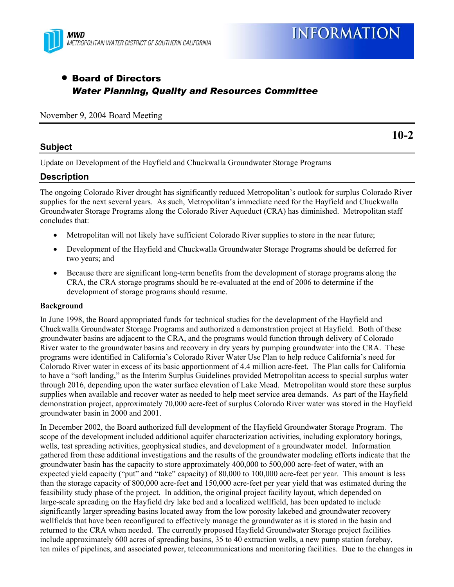

# • Board of Directors *Water Planning, Quality and Resources Committee*

#### November 9, 2004 Board Meeting

### **Subject**

**10-2** 

Update on Development of the Hayfield and Chuckwalla Groundwater Storage Programs

# **Description**

The ongoing Colorado River drought has significantly reduced Metropolitan's outlook for surplus Colorado River supplies for the next several years. As such, Metropolitan's immediate need for the Hayfield and Chuckwalla Groundwater Storage Programs along the Colorado River Aqueduct (CRA) has diminished. Metropolitan staff concludes that:

- Metropolitan will not likely have sufficient Colorado River supplies to store in the near future;
- Development of the Hayfield and Chuckwalla Groundwater Storage Programs should be deferred for two years; and
- Because there are significant long-term benefits from the development of storage programs along the CRA, the CRA storage programs should be re-evaluated at the end of 2006 to determine if the development of storage programs should resume.

#### **Background**

In June 1998, the Board appropriated funds for technical studies for the development of the Hayfield and Chuckwalla Groundwater Storage Programs and authorized a demonstration project at Hayfield. Both of these groundwater basins are adjacent to the CRA, and the programs would function through delivery of Colorado River water to the groundwater basins and recovery in dry years by pumping groundwater into the CRA. These programs were identified in California's Colorado River Water Use Plan to help reduce California's need for Colorado River water in excess of its basic apportionment of 4.4 million acre-feet. The Plan calls for California to have a "soft landing," as the Interim Surplus Guidelines provided Metropolitan access to special surplus water through 2016, depending upon the water surface elevation of Lake Mead. Metropolitan would store these surplus supplies when available and recover water as needed to help meet service area demands. As part of the Hayfield demonstration project, approximately 70,000 acre-feet of surplus Colorado River water was stored in the Hayfield groundwater basin in 2000 and 2001.

In December 2002, the Board authorized full development of the Hayfield Groundwater Storage Program. The scope of the development included additional aquifer characterization activities, including exploratory borings, wells, test spreading activities, geophysical studies, and development of a groundwater model. Information gathered from these additional investigations and the results of the groundwater modeling efforts indicate that the groundwater basin has the capacity to store approximately 400,000 to 500,000 acre-feet of water, with an expected yield capacity ("put" and "take" capacity) of 80,000 to 100,000 acre-feet per year. This amount is less than the storage capacity of 800,000 acre-feet and 150,000 acre-feet per year yield that was estimated during the feasibility study phase of the project. In addition, the original project facility layout, which depended on large-scale spreading on the Hayfield dry lake bed and a localized wellfield, has been updated to include significantly larger spreading basins located away from the low porosity lakebed and groundwater recovery wellfields that have been reconfigured to effectively manage the groundwater as it is stored in the basin and returned to the CRA when needed. The currently proposed Hayfield Groundwater Storage project facilities include approximately 600 acres of spreading basins, 35 to 40 extraction wells, a new pump station forebay, ten miles of pipelines, and associated power, telecommunications and monitoring facilities. Due to the changes in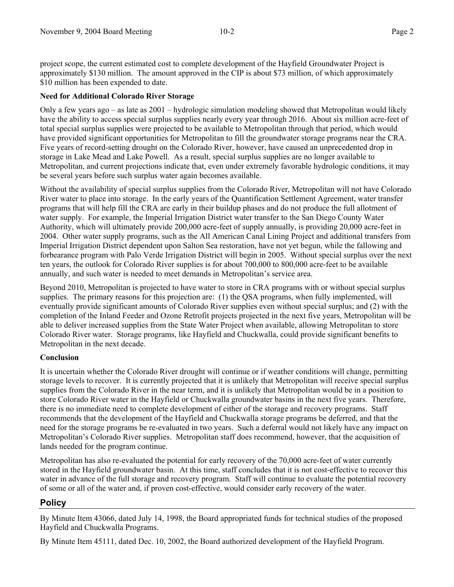project scope, the current estimated cost to complete development of the Hayfield Groundwater Project is approximately \$130 million. The amount approved in the CIP is about \$73 million, of which approximately \$10 million has been expended to date.

### **Need for Additional Colorado River Storage**

Only a few years ago – as late as 2001 – hydrologic simulation modeling showed that Metropolitan would likely have the ability to access special surplus supplies nearly every year through 2016. About six million acre-feet of total special surplus supplies were projected to be available to Metropolitan through that period, which would have provided significant opportunities for Metropolitan to fill the groundwater storage programs near the CRA. Five years of record-setting drought on the Colorado River, however, have caused an unprecedented drop in storage in Lake Mead and Lake Powell. As a result, special surplus supplies are no longer available to Metropolitan, and current projections indicate that, even under extremely favorable hydrologic conditions, it may be several years before such surplus water again becomes available.

Without the availability of special surplus supplies from the Colorado River, Metropolitan will not have Colorado River water to place into storage. In the early years of the Quantification Settlement Agreement, water transfer programs that will help fill the CRA are early in their buildup phases and do not produce the full allotment of water supply. For example, the Imperial Irrigation District water transfer to the San Diego County Water Authority, which will ultimately provide 200,000 acre-feet of supply annually, is providing 20,000 acre-feet in 2004. Other water supply programs, such as the All American Canal Lining Project and additional transfers from Imperial Irrigation District dependent upon Salton Sea restoration, have not yet begun, while the fallowing and forbearance program with Palo Verde Irrigation District will begin in 2005. Without special surplus over the next ten years, the outlook for Colorado River supplies is for about 700,000 to 800,000 acre-feet to be available annually, and such water is needed to meet demands in Metropolitan's service area.

Beyond 2010, Metropolitan is projected to have water to store in CRA programs with or without special surplus supplies. The primary reasons for this projection are: (1) the QSA programs, when fully implemented, will eventually provide significant amounts of Colorado River supplies even without special surplus; and (2) with the completion of the Inland Feeder and Ozone Retrofit projects projected in the next five years, Metropolitan will be able to deliver increased supplies from the State Water Project when available, allowing Metropolitan to store Colorado River water. Storage programs, like Hayfield and Chuckwalla, could provide significant benefits to Metropolitan in the next decade.

### **Conclusion**

It is uncertain whether the Colorado River drought will continue or if weather conditions will change, permitting storage levels to recover. It is currently projected that it is unlikely that Metropolitan will receive special surplus supplies from the Colorado River in the near term, and it is unlikely that Metropolitan would be in a position to store Colorado River water in the Hayfield or Chuckwalla groundwater basins in the next five years. Therefore, there is no immediate need to complete development of either of the storage and recovery programs. Staff recommends that the development of the Hayfield and Chuckwalla storage programs be deferred, and that the need for the storage programs be re-evaluated in two years. Such a deferral would not likely have any impact on Metropolitan's Colorado River supplies. Metropolitan staff does recommend, however, that the acquisition of lands needed for the program continue.

Metropolitan has also re-evaluated the potential for early recovery of the 70,000 acre-feet of water currently stored in the Hayfield groundwater basin. At this time, staff concludes that it is not cost-effective to recover this water in advance of the full storage and recovery program. Staff will continue to evaluate the potential recovery of some or all of the water and, if proven cost-effective, would consider early recovery of the water.

# **Policy**

By Minute Item 43066, dated July 14, 1998, the Board appropriated funds for technical studies of the proposed Hayfield and Chuckwalla Programs.

By Minute Item 45111, dated Dec. 10, 2002, the Board authorized development of the Hayfield Program.